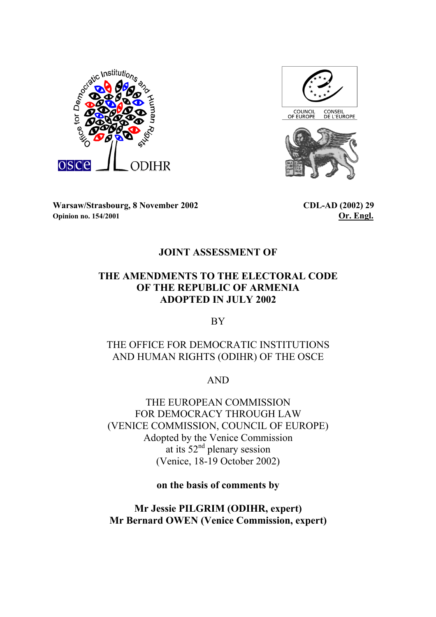



**Warsaw/Strasbourg, 8 November 2002 CDL-AD (2002) 29 Opinion no. 154/2001 Or. Engl.** 

## **JOINT ASSESSMENT OF**

# **THE AMENDMENTS TO THE ELECTORAL CODE OF THE REPUBLIC OF ARMENIA ADOPTED IN JULY 2002**

BY

# THE OFFICE FOR DEMOCRATIC INSTITUTIONS AND HUMAN RIGHTS (ODIHR) OF THE OSCE

AND

THE EUROPEAN COMMISSION FOR DEMOCRACY THROUGH LAW (VENICE COMMISSION, COUNCIL OF EUROPE) Adopted by the Venice Commission at its  $52<sup>nd</sup>$  plenary session (Venice, 18-19 October 2002)

**on the basis of comments by** 

**Mr Jessie PILGRIM (ODIHR, expert) Mr Bernard OWEN (Venice Commission, expert)**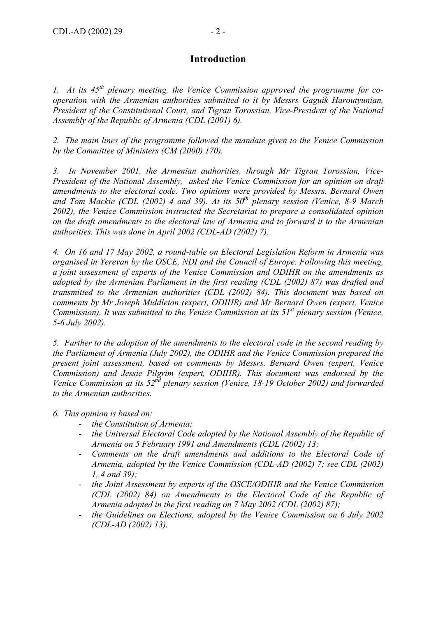## **Introduction**

*1. At its 45th plenary meeting, the Venice Commission approved the programme for cooperation with the Armenian authorities submitted to it by Messrs Gaguik Haroutyunian, President of the Constitutional Court, and Tigran Torossian, Vice-President of the National Assembly of the Republic of Armenia (CDL (2001) 6).* 

*2. The main lines of the programme followed the mandate given to the Venice Commission by the Committee of Ministers (CM (2000) 170).* 

*3. In November 2001, the Armenian authorities, through Mr Tigran Torossian, Vice-President of the National Assembly, asked the Venice Commission for an opinion on draft amendments to the electoral code. Two opinions were provided by Messrs. Bernard Owen*  and Tom Mackie (CDL (2002) 4 and 39). At its 50<sup>th</sup> plenary session (Venice, 8-9 March *2002), the Venice Commission instructed the Secretariat to prepare a consolidated opinion on the draft amendments to the electoral law of Armenia and to forward it to the Armenian authorities. This was done in April 2002 (CDL-AD (2002) 7).* 

*4. On 16 and 17 May 2002, a round-table on Electoral Legislation Reform in Armenia was organised in Yerevan by the OSCE, NDI and the Council of Europe. Following this meeting, a joint assessment of experts of the Venice Commission and ODIHR on the amendments as adopted by the Armenian Parliament in the first reading (CDL (2002) 87) was drafted and transmitted to the Armenian authorities (CDL (2002) 84). This document was based on comments by Mr Joseph Middleton (expert, ODIHR) and Mr Bernard Owen (expert, Venice Commission). It was submitted to the Venice Commission at its 51<sup>st</sup> plenary session (Venice, 5-6 July 2002).* 

*5. Further to the adoption of the amendments to the electoral code in the second reading by the Parliament of Armenia (July 2002), the ODIHR and the Venice Commission prepared the present joint assessment, based on comments by Messrs. Bernard Owen (expert, Venice Commission) and Jessie Pilgrim (expert, ODIHR). This document was endorsed by the Venice Commission at its 52nd plenary session (Venice, 18-19 October 2002) and forwarded to the Armenian authorities.* 

*6. This opinion is based on:* 

- *the Constitution of Armenia;*
- *the Universal Electoral Code adopted by the National Assembly of the Republic of Armenia on 5 February 1991 and Amendments (CDL (2002) 13;*
- *Comments on the draft amendments and additions to the Electoral Code of Armenia, adopted by the Venice Commission (CDL-AD (2002) 7; see CDL (2002) 1, 4 and 39);*
- the Joint Assessment by experts of the OSCE/ODIHR and the Venice Commission *(CDL (2002) 84) on Amendments to the Electoral Code of the Republic of Armenia adopted in the first reading on 7 May 2002 (CDL (2002) 87);*
- *the Guidelines on Elections, adopted by the Venice Commission on 6 July 2002 (CDL-AD (2002) 13).*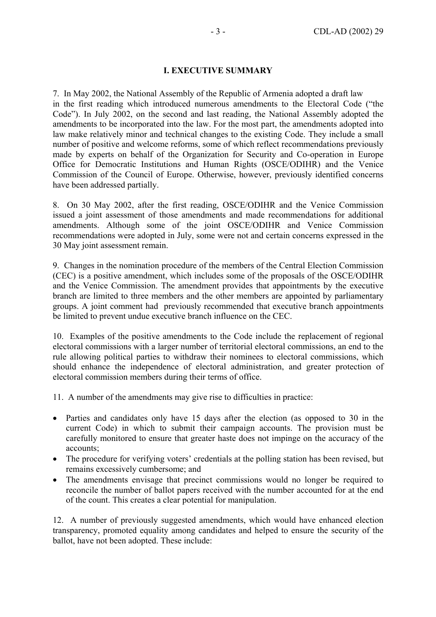### **I. EXECUTIVE SUMMARY**

7. In May 2002, the National Assembly of the Republic of Armenia adopted a draft law in the first reading which introduced numerous amendments to the Electoral Code ("the Code"). In July 2002, on the second and last reading, the National Assembly adopted the amendments to be incorporated into the law. For the most part, the amendments adopted into law make relatively minor and technical changes to the existing Code. They include a small number of positive and welcome reforms, some of which reflect recommendations previously made by experts on behalf of the Organization for Security and Co-operation in Europe Office for Democratic Institutions and Human Rights (OSCE/ODIHR) and the Venice Commission of the Council of Europe. Otherwise, however, previously identified concerns have been addressed partially.

8. On 30 May 2002, after the first reading, OSCE/ODIHR and the Venice Commission issued a joint assessment of those amendments and made recommendations for additional amendments. Although some of the joint OSCE/ODIHR and Venice Commission recommendations were adopted in July, some were not and certain concerns expressed in the 30 May joint assessment remain.

9. Changes in the nomination procedure of the members of the Central Election Commission (CEC) is a positive amendment, which includes some of the proposals of the OSCE/ODIHR and the Venice Commission. The amendment provides that appointments by the executive branch are limited to three members and the other members are appointed by parliamentary groups. A joint comment had previously recommended that executive branch appointments be limited to prevent undue executive branch influence on the CEC.

10. Examples of the positive amendments to the Code include the replacement of regional electoral commissions with a larger number of territorial electoral commissions, an end to the rule allowing political parties to withdraw their nominees to electoral commissions, which should enhance the independence of electoral administration, and greater protection of electoral commission members during their terms of office.

- 11. A number of the amendments may give rise to difficulties in practice:
- Parties and candidates only have 15 days after the election (as opposed to 30 in the current Code) in which to submit their campaign accounts. The provision must be carefully monitored to ensure that greater haste does not impinge on the accuracy of the accounts;
- The procedure for verifying voters' credentials at the polling station has been revised, but remains excessively cumbersome; and
- The amendments envisage that precinct commissions would no longer be required to reconcile the number of ballot papers received with the number accounted for at the end of the count. This creates a clear potential for manipulation.

12. A number of previously suggested amendments, which would have enhanced election transparency, promoted equality among candidates and helped to ensure the security of the ballot, have not been adopted. These include: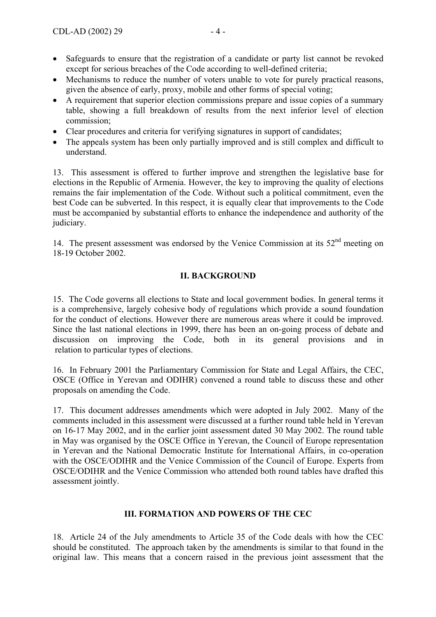- Safeguards to ensure that the registration of a candidate or party list cannot be revoked except for serious breaches of the Code according to well-defined criteria;
- Mechanisms to reduce the number of voters unable to vote for purely practical reasons, given the absence of early, proxy, mobile and other forms of special voting;
- A requirement that superior election commissions prepare and issue copies of a summary table, showing a full breakdown of results from the next inferior level of election commission;
- Clear procedures and criteria for verifying signatures in support of candidates;
- The appeals system has been only partially improved and is still complex and difficult to understand.

13. This assessment is offered to further improve and strengthen the legislative base for elections in the Republic of Armenia. However, the key to improving the quality of elections remains the fair implementation of the Code. Without such a political commitment, even the best Code can be subverted. In this respect, it is equally clear that improvements to the Code must be accompanied by substantial efforts to enhance the independence and authority of the judiciary.

14. The present assessment was endorsed by the Venice Commission at its  $52<sup>nd</sup>$  meeting on 18-19 October 2002.

### **II. BACKGROUND**

15. The Code governs all elections to State and local government bodies. In general terms it is a comprehensive, largely cohesive body of regulations which provide a sound foundation for the conduct of elections. However there are numerous areas where it could be improved. Since the last national elections in 1999, there has been an on-going process of debate and discussion on improving the Code, both in its general provisions and in relation to particular types of elections.

16. In February 2001 the Parliamentary Commission for State and Legal Affairs, the CEC, OSCE (Office in Yerevan and ODIHR) convened a round table to discuss these and other proposals on amending the Code.

17. This document addresses amendments which were adopted in July 2002. Many of the comments included in this assessment were discussed at a further round table held in Yerevan on 16-17 May 2002, and in the earlier joint assessment dated 30 May 2002. The round table in May was organised by the OSCE Office in Yerevan, the Council of Europe representation in Yerevan and the National Democratic Institute for International Affairs, in co-operation with the OSCE/ODIHR and the Venice Commission of the Council of Europe. Experts from OSCE/ODIHR and the Venice Commission who attended both round tables have drafted this assessment jointly.

#### **III. FORMATION AND POWERS OF THE CEC**

18. Article 24 of the July amendments to Article 35 of the Code deals with how the CEC should be constituted. The approach taken by the amendments is similar to that found in the original law. This means that a concern raised in the previous joint assessment that the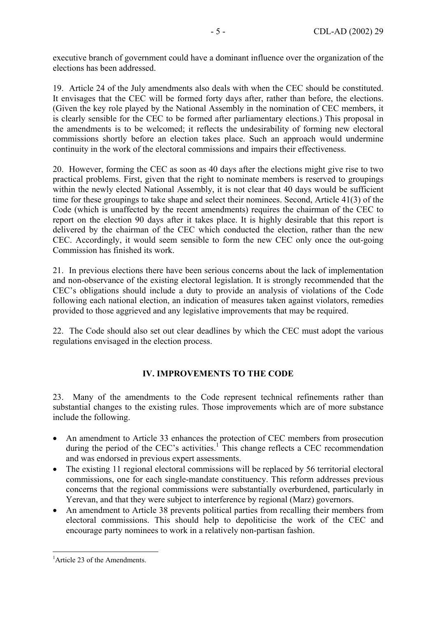executive branch of government could have a dominant influence over the organization of the elections has been addressed.

19. Article 24 of the July amendments also deals with when the CEC should be constituted. It envisages that the CEC will be formed forty days after, rather than before, the elections. (Given the key role played by the National Assembly in the nomination of CEC members, it is clearly sensible for the CEC to be formed after parliamentary elections.) This proposal in the amendments is to be welcomed; it reflects the undesirability of forming new electoral commissions shortly before an election takes place. Such an approach would undermine continuity in the work of the electoral commissions and impairs their effectiveness.

20. However, forming the CEC as soon as 40 days after the elections might give rise to two practical problems. First, given that the right to nominate members is reserved to groupings within the newly elected National Assembly, it is not clear that 40 days would be sufficient time for these groupings to take shape and select their nominees. Second, Article 41(3) of the Code (which is unaffected by the recent amendments) requires the chairman of the CEC to report on the election 90 days after it takes place. It is highly desirable that this report is delivered by the chairman of the CEC which conducted the election, rather than the new CEC. Accordingly, it would seem sensible to form the new CEC only once the out-going Commission has finished its work.

21. In previous elections there have been serious concerns about the lack of implementation and non-observance of the existing electoral legislation. It is strongly recommended that the CEC's obligations should include a duty to provide an analysis of violations of the Code following each national election, an indication of measures taken against violators, remedies provided to those aggrieved and any legislative improvements that may be required.

22. The Code should also set out clear deadlines by which the CEC must adopt the various regulations envisaged in the election process.

### **IV. IMPROVEMENTS TO THE CODE**

23. Many of the amendments to the Code represent technical refinements rather than substantial changes to the existing rules. Those improvements which are of more substance include the following.

- An amendment to Article 33 enhances the protection of CEC members from prosecution during the period of the CEC's activities.<sup>1</sup> This change reflects a CEC recommendation and was endorsed in previous expert assessments.
- The existing 11 regional electoral commissions will be replaced by 56 territorial electoral commissions, one for each single-mandate constituency. This reform addresses previous concerns that the regional commissions were substantially overburdened, particularly in Yerevan, and that they were subject to interference by regional (Marz) governors.
- An amendment to Article 38 prevents political parties from recalling their members from electoral commissions. This should help to depoliticise the work of the CEC and encourage party nominees to work in a relatively non-partisan fashion.

<sup>&</sup>lt;sup>1</sup> Article 23 of the Amendments.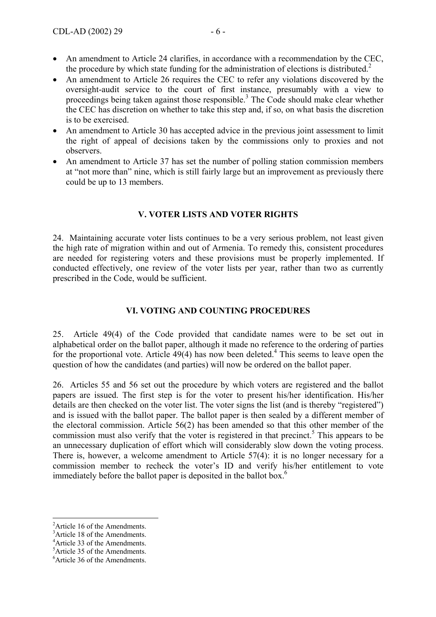- An amendment to Article 24 clarifies, in accordance with a recommendation by the CEC, the procedure by which state funding for the administration of elections is distributed.<sup>2</sup>
- An amendment to Article 26 requires the CEC to refer any violations discovered by the oversight-audit service to the court of first instance, presumably with a view to proceedings being taken against those responsible.<sup>3</sup> The Code should make clear whether the CEC has discretion on whether to take this step and, if so, on what basis the discretion is to be exercised.
- An amendment to Article 30 has accepted advice in the previous joint assessment to limit the right of appeal of decisions taken by the commissions only to proxies and not observers.
- An amendment to Article 37 has set the number of polling station commission members at "not more than" nine, which is still fairly large but an improvement as previously there could be up to 13 members.

## **V. VOTER LISTS AND VOTER RIGHTS**

24. Maintaining accurate voter lists continues to be a very serious problem, not least given the high rate of migration within and out of Armenia. To remedy this, consistent procedures are needed for registering voters and these provisions must be properly implemented. If conducted effectively, one review of the voter lists per year, rather than two as currently prescribed in the Code, would be sufficient.

## **VI. VOTING AND COUNTING PROCEDURES**

25. Article 49(4) of the Code provided that candidate names were to be set out in alphabetical order on the ballot paper, although it made no reference to the ordering of parties for the proportional vote. Article  $49(4)$  has now been deleted.<sup>4</sup> This seems to leave open the question of how the candidates (and parties) will now be ordered on the ballot paper.

26. Articles 55 and 56 set out the procedure by which voters are registered and the ballot papers are issued. The first step is for the voter to present his/her identification. His/her details are then checked on the voter list. The voter signs the list (and is thereby "registered") and is issued with the ballot paper. The ballot paper is then sealed by a different member of the electoral commission. Article 56(2) has been amended so that this other member of the commission must also verify that the voter is registered in that precinct.<sup>5</sup> This appears to be an unnecessary duplication of effort which will considerably slow down the voting process. There is, however, a welcome amendment to Article 57(4): it is no longer necessary for a commission member to recheck the voter's ID and verify his/her entitlement to vote immediately before the ballot paper is deposited in the ballot box.<sup>6</sup>

<sup>&</sup>lt;sup>2</sup>Article 16 of the Amendments.

<sup>&</sup>lt;sup>3</sup>Article 18 of the Amendments.

<sup>4</sup> Article 33 of the Amendments.

<sup>5</sup> Article 35 of the Amendments.

<sup>6</sup> Article 36 of the Amendments.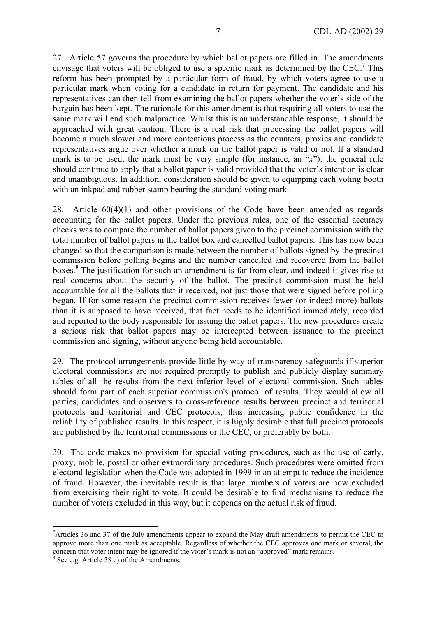27. Article 57 governs the procedure by which ballot papers are filled in. The amendments envisage that voters will be obliged to use a specific mark as determined by the CEC.<sup>7</sup> This reform has been prompted by a particular form of fraud, by which voters agree to use a particular mark when voting for a candidate in return for payment. The candidate and his representatives can then tell from examining the ballot papers whether the voter's side of the bargain has been kept. The rationale for this amendment is that requiring all voters to use the same mark will end such malpractice. Whilst this is an understandable response, it should be approached with great caution. There is a real risk that processing the ballot papers will become a much slower and more contentious process as the counters, proxies and candidate representatives argue over whether a mark on the ballot paper is valid or not. If a standard mark is to be used, the mark must be very simple (for instance, an "*x*"): the general rule should continue to apply that a ballot paper is valid provided that the voter's intention is clear and unambiguous. In addition, consideration should be given to equipping each voting booth with an inkpad and rubber stamp bearing the standard voting mark.

28. Article 60(4)(1) and other provisions of the Code have been amended as regards accounting for the ballot papers. Under the previous rules, one of the essential accuracy checks was to compare the number of ballot papers given to the precinct commission with the total number of ballot papers in the ballot box and cancelled ballot papers. This has now been changed so that the comparison is made between the number of ballots signed by the precinct commission before polling begins and the number cancelled and recovered from the ballot boxes.<sup>8</sup> The justification for such an amendment is far from clear, and indeed it gives rise to real concerns about the security of the ballot. The precinct commission must be held accountable for all the ballots that it received, not just those that were signed before polling began. If for some reason the precinct commission receives fewer (or indeed more) ballots than it is supposed to have received, that fact needs to be identified immediately, recorded and reported to the body responsible for issuing the ballot papers. The new procedures create a serious risk that ballot papers may be intercepted between issuance to the precinct commission and signing, without anyone being held accountable.

29. The protocol arrangements provide little by way of transparency safeguards if superior electoral commissions are not required promptly to publish and publicly display summary tables of all the results from the next inferior level of electoral commission. Such tables should form part of each superior commission's protocol of results. They would allow all parties, candidates and observers to cross-reference results between precinct and territorial protocols and territorial and CEC protocols, thus increasing public confidence in the reliability of published results. In this respect, it is highly desirable that full precinct protocols are published by the territorial commissions or the CEC, or preferably by both.

30. The code makes no provision for special voting procedures, such as the use of early, proxy, mobile, postal or other extraordinary procedures. Such procedures were omitted from electoral legislation when the Code was adopted in 1999 in an attempt to reduce the incidence of fraud. However, the inevitable result is that large numbers of voters are now excluded from exercising their right to vote. It could be desirable to find mechanisms to reduce the number of voters excluded in this way, but it depends on the actual risk of fraud.

<sup>&</sup>lt;sup>7</sup> Articles 36 and 37 of the July amendments appear to expand the May draft amendments to permit the CEC to approve more than one mark as acceptable. Regardless of whether the CEC approves one mark or several, the concern that voter intent may be ignored if the voter's mark is not an "approved" mark remains.

<sup>8</sup> See e.g. Article 38 c) of the Amendments.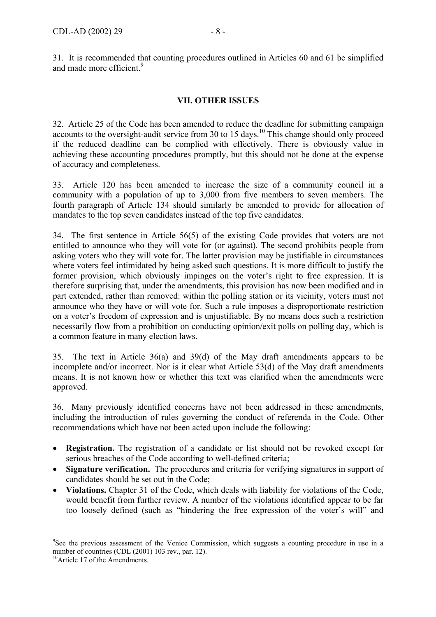31. It is recommended that counting procedures outlined in Articles 60 and 61 be simplified and made more efficient.<sup>9</sup>

### **VII. OTHER ISSUES**

32. Article 25 of the Code has been amended to reduce the deadline for submitting campaign accounts to the oversight-audit service from 30 to 15 days.<sup>10</sup> This change should only proceed if the reduced deadline can be complied with effectively. There is obviously value in achieving these accounting procedures promptly, but this should not be done at the expense of accuracy and completeness.

33. Article 120 has been amended to increase the size of a community council in a community with a population of up to 3,000 from five members to seven members. The fourth paragraph of Article 134 should similarly be amended to provide for allocation of mandates to the top seven candidates instead of the top five candidates.

34. The first sentence in Article 56(5) of the existing Code provides that voters are not entitled to announce who they will vote for (or against). The second prohibits people from asking voters who they will vote for. The latter provision may be justifiable in circumstances where voters feel intimidated by being asked such questions. It is more difficult to justify the former provision, which obviously impinges on the voter's right to free expression. It is therefore surprising that, under the amendments, this provision has now been modified and in part extended, rather than removed: within the polling station or its vicinity, voters must not announce who they have or will vote for. Such a rule imposes a disproportionate restriction on a voter's freedom of expression and is unjustifiable. By no means does such a restriction necessarily flow from a prohibition on conducting opinion/exit polls on polling day, which is a common feature in many election laws.

35. The text in Article 36(a) and 39(d) of the May draft amendments appears to be incomplete and/or incorrect. Nor is it clear what Article 53(d) of the May draft amendments means. It is not known how or whether this text was clarified when the amendments were approved.

36. Many previously identified concerns have not been addressed in these amendments, including the introduction of rules governing the conduct of referenda in the Code. Other recommendations which have not been acted upon include the following:

- **Registration.** The registration of a candidate or list should not be revoked except for serious breaches of the Code according to well-defined criteria;
- **Signature verification.** The procedures and criteria for verifying signatures in support of candidates should be set out in the Code;
- **Violations.** Chapter 31 of the Code, which deals with liability for violations of the Code, would benefit from further review. A number of the violations identified appear to be far too loosely defined (such as "hindering the free expression of the voter's will" and

<sup>&</sup>lt;sup>9</sup>See the previous assessment of the Venice Commission, which suggests a counting procedure in use in a number of countries (CDL (2001) 103 rev., par. 12).

<sup>&</sup>lt;sup>10</sup>Article 17 of the Amendments.